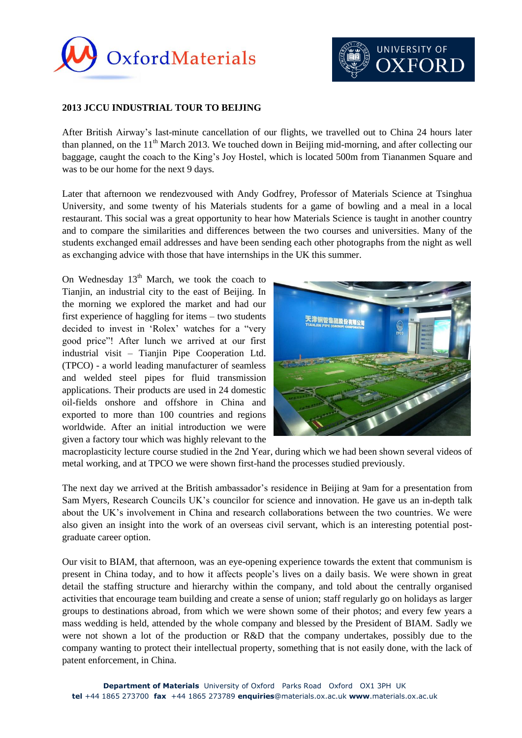



## **2013 JCCU INDUSTRIAL TOUR TO BEIJING**

After British Airway's last-minute cancellation of our flights, we travelled out to China 24 hours later than planned, on the  $11<sup>th</sup>$  March 2013. We touched down in Beijing mid-morning, and after collecting our baggage, caught the coach to the King's Joy Hostel, which is located 500m from Tiananmen Square and was to be our home for the next 9 days.

Later that afternoon we rendezvoused with Andy Godfrey, Professor of Materials Science at Tsinghua University, and some twenty of his Materials students for a game of bowling and a meal in a local restaurant. This social was a great opportunity to hear how Materials Science is taught in another country and to compare the similarities and differences between the two courses and universities. Many of the students exchanged email addresses and have been sending each other photographs from the night as well as exchanging advice with those that have internships in the UK this summer.

On Wednesday  $13<sup>th</sup>$  March, we took the coach to Tianjin, an industrial city to the east of Beijing. In the morning we explored the market and had our first experience of haggling for items – two students decided to invest in 'Rolex' watches for a "very good price"! After lunch we arrived at our first industrial visit – Tianjin Pipe Cooperation Ltd. (TPCO) - a world leading manufacturer of seamless and welded steel pipes for fluid transmission applications. Their products are used in 24 domestic oil-fields onshore and offshore in China and exported to more than 100 countries and regions worldwide. After an initial introduction we were given a factory tour which was highly relevant to the



macroplasticity lecture course studied in the 2nd Year, during which we had been shown several videos of metal working, and at TPCO we were shown first-hand the processes studied previously.

The next day we arrived at the British ambassador's residence in Beijing at 9am for a presentation from Sam Myers, Research Councils UK's councilor for science and innovation. He gave us an in-depth talk about the UK's involvement in China and research collaborations between the two countries. We were also given an insight into the work of an overseas civil servant, which is an interesting potential postgraduate career option.

Our visit to BIAM, that afternoon, was an eye-opening experience towards the extent that communism is present in China today, and to how it affects people's lives on a daily basis. We were shown in great detail the staffing structure and hierarchy within the company, and told about the centrally organised activities that encourage team building and create a sense of union; staff regularly go on holidays as larger groups to destinations abroad, from which we were shown some of their photos; and every few years a mass wedding is held, attended by the whole company and blessed by the President of BIAM. Sadly we were not shown a lot of the production or R&D that the company undertakes, possibly due to the company wanting to protect their intellectual property, something that is not easily done, with the lack of patent enforcement, in China.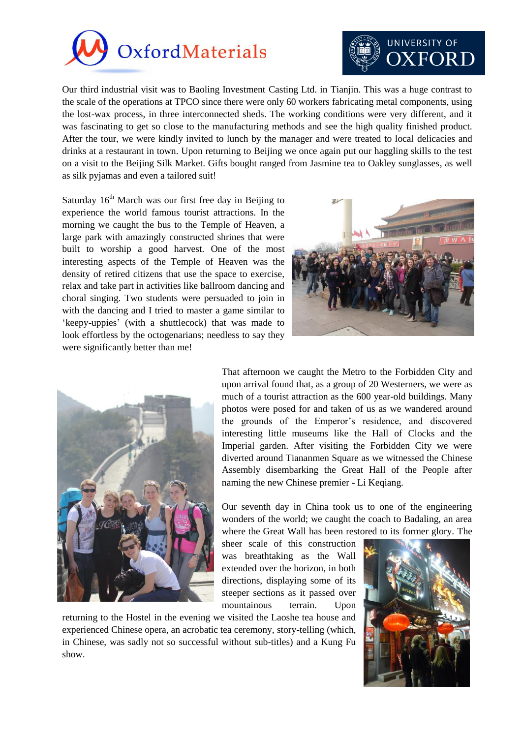



Our third industrial visit was to Baoling Investment Casting Ltd. in Tianjin. This was a huge contrast to the scale of the operations at TPCO since there were only 60 workers fabricating metal components, using the lost-wax process, in three interconnected sheds. The working conditions were very different, and it was fascinating to get so close to the manufacturing methods and see the high quality finished product. After the tour, we were kindly invited to lunch by the manager and were treated to local delicacies and drinks at a restaurant in town. Upon returning to Beijing we once again put our haggling skills to the test on a visit to the Beijing Silk Market. Gifts bought ranged from Jasmine tea to Oakley sunglasses, as well as silk pyjamas and even a tailored suit!

Saturday  $16<sup>th</sup>$  March was our first free day in Beijing to experience the world famous tourist attractions. In the morning we caught the bus to the Temple of Heaven, a large park with amazingly constructed shrines that were built to worship a good harvest. One of the most interesting aspects of the Temple of Heaven was the density of retired citizens that use the space to exercise, relax and take part in activities like ballroom dancing and choral singing. Two students were persuaded to join in with the dancing and I tried to master a game similar to 'keepy-uppies' (with a shuttlecock) that was made to look effortless by the octogenarians; needless to say they were significantly better than me!





That afternoon we caught the Metro to the Forbidden City and upon arrival found that, as a group of 20 Westerners, we were as much of a tourist attraction as the 600 year-old buildings. Many photos were posed for and taken of us as we wandered around the grounds of the Emperor's residence, and discovered interesting little museums like the Hall of Clocks and the Imperial garden. After visiting the Forbidden City we were diverted around Tiananmen Square as we witnessed the Chinese Assembly disembarking the Great Hall of the People after naming the new Chinese premier - Li Keqiang.

Our seventh day in China took us to one of the engineering wonders of the world; we caught the coach to Badaling, an area where the Great Wall has been restored to its former glory. The

sheer scale of this construction was breathtaking as the Wall extended over the horizon, in both directions, displaying some of its steeper sections as it passed over mountainous terrain. Upon

returning to the Hostel in the evening we visited the Laoshe tea house and experienced Chinese opera, an acrobatic tea ceremony, story-telling (which, in Chinese, was sadly not so successful without sub-titles) and a Kung Fu show.

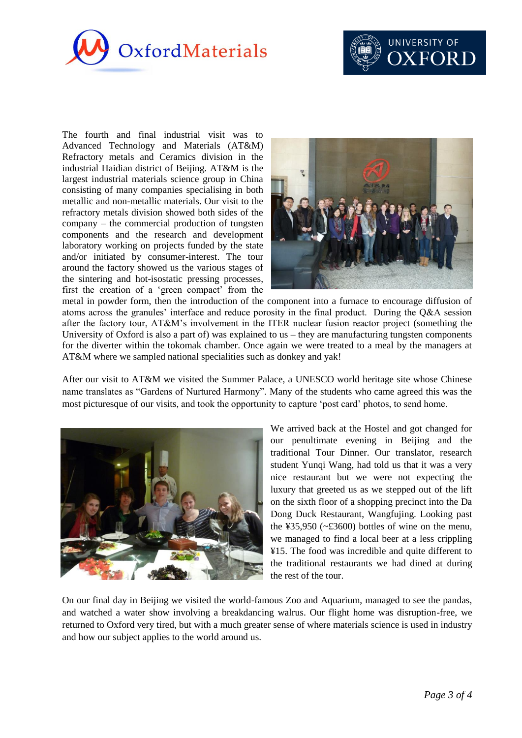



The fourth and final industrial visit was to Advanced Technology and Materials (AT&M) Refractory metals and Ceramics division in the industrial Haidian district of Beijing. AT&M is the largest industrial materials science group in China consisting of many companies specialising in both metallic and non-metallic materials. Our visit to the refractory metals division showed both sides of the company – the commercial production of tungsten components and the research and development laboratory working on projects funded by the state and/or initiated by consumer-interest. The tour around the factory showed us the various stages of the sintering and hot-isostatic pressing processes, first the creation of a 'green compact' from the



metal in powder form, then the introduction of the component into a furnace to encourage diffusion of atoms across the granules' interface and reduce porosity in the final product. During the Q&A session after the factory tour, AT&M's involvement in the ITER nuclear fusion reactor project (something the University of Oxford is also a part of) was explained to us – they are manufacturing tungsten components for the diverter within the tokomak chamber. Once again we were treated to a meal by the managers at AT&M where we sampled national specialities such as donkey and yak!

After our visit to AT&M we visited the Summer Palace, a UNESCO world heritage site whose Chinese name translates as "Gardens of Nurtured Harmony". Many of the students who came agreed this was the most picturesque of our visits, and took the opportunity to capture 'post card' photos, to send home.



We arrived back at the Hostel and got changed for our penultimate evening in Beijing and the traditional Tour Dinner. Our translator, research student Yunqi Wang, had told us that it was a very nice restaurant but we were not expecting the luxury that greeted us as we stepped out of the lift on the sixth floor of a shopping precinct into the Da Dong Duck Restaurant, Wangfujing. Looking past the  $435,950$  ( $\sim$ £3600) bottles of wine on the menu, we managed to find a local beer at a less crippling ¥15. The food was incredible and quite different to the traditional restaurants we had dined at during the rest of the tour.

On our final day in Beijing we visited the world-famous Zoo and Aquarium, managed to see the pandas, and watched a water show involving a breakdancing walrus. Our flight home was disruption-free, we returned to Oxford very tired, but with a much greater sense of where materials science is used in industry and how our subject applies to the world around us.